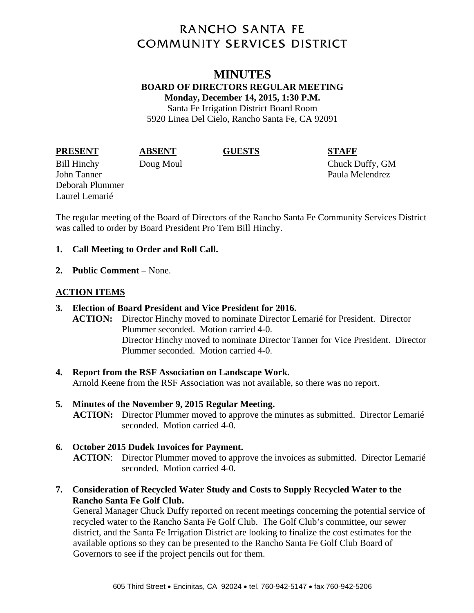# **RANCHO SANTA FE COMMUNITY SERVICES DISTRICT**

# **MINUTES BOARD OF DIRECTORS REGULAR MEETING Monday, December 14, 2015, 1:30 P.M.**  Santa Fe Irrigation District Board Room

5920 Linea Del Cielo, Rancho Santa Fe, CA 92091

### **PRESENT ABSENT GUESTS STAFF**

Bill Hinchy Doug Moul Chuck Duffy, GM John Tanner **Paula Melendrez** Deborah Plummer Laurel Lemarié

The regular meeting of the Board of Directors of the Rancho Santa Fe Community Services District was called to order by Board President Pro Tem Bill Hinchy.

# **1. Call Meeting to Order and Roll Call.**

**2. Public Comment** – None.

# **ACTION ITEMS**

- **3. Election of Board President and Vice President for 2016. ACTION:** Director Hinchy moved to nominate Director Lemarié for President. Director Plummer seconded. Motion carried 4-0. Director Hinchy moved to nominate Director Tanner for Vice President. Director Plummer seconded. Motion carried 4-0.
- **4. Report from the RSF Association on Landscape Work.**  Arnold Keene from the RSF Association was not available, so there was no report.
- **5. Minutes of the November 9, 2015 Regular Meeting. ACTION:** Director Plummer moved to approve the minutes as submitted. Director Lemarié seconded. Motion carried 4-0.
- **6. October 2015 Dudek Invoices for Payment. ACTION**: Director Plummer moved to approve the invoices as submitted. Director Lemarié seconded. Motion carried 4-0.
- **7. Consideration of Recycled Water Study and Costs to Supply Recycled Water to the Rancho Santa Fe Golf Club.**

General Manager Chuck Duffy reported on recent meetings concerning the potential service of recycled water to the Rancho Santa Fe Golf Club. The Golf Club's committee, our sewer district, and the Santa Fe Irrigation District are looking to finalize the cost estimates for the available options so they can be presented to the Rancho Santa Fe Golf Club Board of Governors to see if the project pencils out for them.